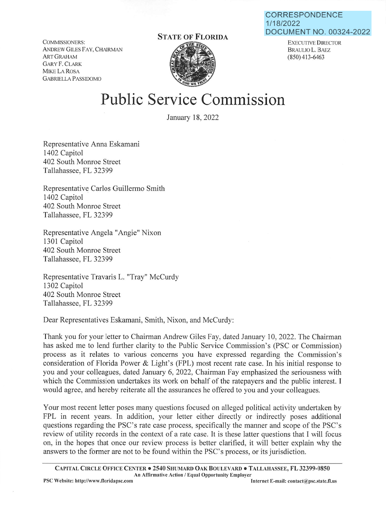**CORRESPONDENCE**  1/18/2022 **DOCUMENT NO.** 00324-2022

COMMISSIONERS: ANDREW GILES FAY, CHAIRMAN ART GRAHAM GARY F. CLARK MIKE LA ROSA GABRIELLA PASSIDOMO

## **STATE OF FLORIDA**



EXECUTIVE DIRECTOR BRAULIO L. BAEZ (850) 413-6463

## **Public Service Commission**

January 18, 2022

Representative Anna Eskamani 1402 Capitol 402 South Monroe Street Tallahassee, FL 32399

Representative Carlos Guillermo Smith 1402 Capitol 402 South Monroe Street Tallahassee, FL 32399

Representative Angela "Angie" Nixon 1301 Capitol 402 South Monroe Street Tallahassee, FL 32399

Representative Travaris L. "Tray" McCurdy 1302 Capitol 402 South Monroe Street Tallahassee, FL 32399

Dear Representatives Eskamani, Smith, Nixon, and McCurdy:

Thank you for your letter to Chairman Andrew Giles Fay, dated January 10, 2022. The Chairman has asked me to lend further clarity to the Public Service Commission's (PSC or Commission) process as it relates to various concerns you have expressed regarding the Commission's consideration of Florida Power & Light's (FPL) most recent rate case. In his initial response to you and your colleagues, dated January 6, 2022, Chairman Fay emphasized the seriousness with which the Commission undertakes its work on behalf of the ratepayers and the public interest. I would agree, and hereby reiterate all the assurances he offered to you and your colleagues.

Your most recent letter poses many questions focused on alleged political activity undertaken by FPL in recent years. In addition, your letter either directly or indirectly poses additional questions regarding the PSC's rate case process, specifically the manner and scope of the PSC's review of utility records in the context of a rate case. It is these latter questions that I will focus on, in the hopes that once our review process is better clarified, it will better explain why the answers to the former are not to be found within the PSC's process, or its jurisdiction.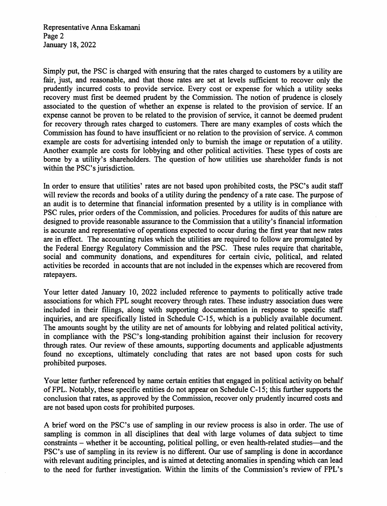Representative Anna Eskamani Page 2 January 18, 2022

Simply put, the PSC is charged with ensuring that the rates charged to customers by a utility are fair, just, and reasonable, and that those rates are set at levels sufficient to recover only the prudently incurred costs to provide service. Every cost or expense for which a utility seeks recovery must first be deemed prudent by the Commission. The notion of prudence is closely associated to the question of whether an expense is related to the provision of service. If an expense cannot be proven to be related to the provision of service, it cannot be deemed prudent for recovery through rates charged to customers. There are many examples of costs which the Commission has found to have insufficient or no relation to the provision of service. A common example are costs for advertising intended only to burnish the image or reputation of a utility. Another example are costs for lobbying and other political activities. These types of costs are borne by a utility's shareholders. The question of how utilities use shareholder funds is not within the PSC's jurisdiction.

In order to ensure that utilities' rates are not based upon prohibited costs, the PSC's audit staff will review the records and books of a utility during the pendency of a rate case. The purpose of an audit is to determine that financial information presented by a utility is in compliance with PSC rules, prior orders of the Commission, and policies. Procedures for audits of this nature are designed to provide reasonable assurance to the Commission that a utility's financial information is accurate and representative of operations expected to occur during the first year that new rates are in effect. The accounting rules which the utilities are required to follow are promulgated by the Federal Energy Regulatory Commission and the PSC. These rules require that charitable, social and community donations, and expenditures for certain civic, political, and related activities be recorded in accounts that are not included in the expenses which are recovered from ratepayers.

Your letter dated January 10, 2022 included reference to payments to politically active trade associations for which FPL sought recovery through rates. These industry association dues were included in their filings, along with supporting documentation in response to specific staff inquiries, and are specifically listed in Schedule C-15, which is a publicly available document. The amounts sought by the utility are net of amounts for lobbying and related political activity, in compliance with the PSC's long-standing prohibition against their inclusion for recovery through rates. Our review of these amounts, supporting documents and applicable adjustments found no exceptions, ultimately concluding that rates are not based upon costs for such prohibited purposes.

Your letter further referenced by name certain entities that engaged in political activity on behalf of FPL. Notably, these specific entities do not appear on Schedule C-15; this further supports the conclusion that rates, as approved by the Commission, recover only prudently incurred costs and are not based upon costs for prohibited purposes.

A brief word on the PSC's use of sampling in our review process is also in order. The use of sampling is common in all disciplines that deal with large volumes of data subject to time constraints - whether it be accounting, political polling, or even health-related studies-and the PSC's use of sampling in its review is no different. Our use of sampling is done in accordance with relevant auditing principles, and is aimed at detecting anomalies in spending which can lead to the need for further investigation. Within the limits of the Commission's review of FPL's